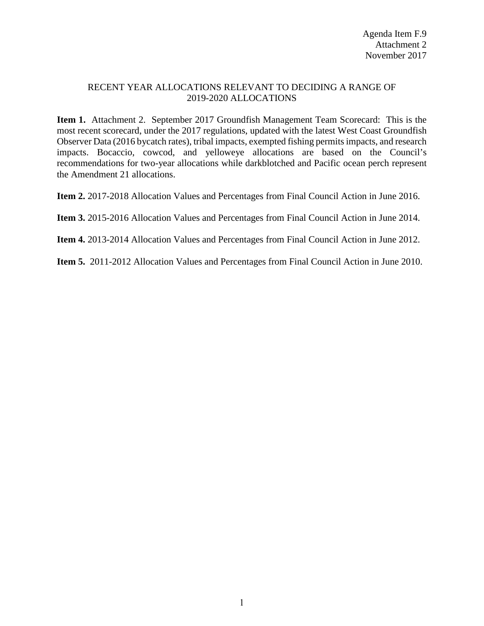#### RECENT YEAR ALLOCATIONS RELEVANT TO DECIDING A RANGE OF 2019-2020 ALLOCATIONS

**Item 1.** Attachment 2. September 2017 Groundfish Management Team Scorecard: This is the most recent scorecard, under the 2017 regulations, updated with the latest West Coast Groundfish Observer Data (2016 bycatch rates), tribal impacts, exempted fishing permits impacts, and research impacts. Bocaccio, cowcod, and yelloweye allocations are based on the Council's recommendations for two-year allocations while darkblotched and Pacific ocean perch represent the Amendment 21 allocations.

**Item 2.** 2017-2018 Allocation Values and Percentages from Final Council Action in June 2016.

**Item 3.** 2015-2016 Allocation Values and Percentages from Final Council Action in June 2014.

**Item 4.** 2013-2014 Allocation Values and Percentages from Final Council Action in June 2012.

**Item 5.** 2011-2012 Allocation Values and Percentages from Final Council Action in June 2010.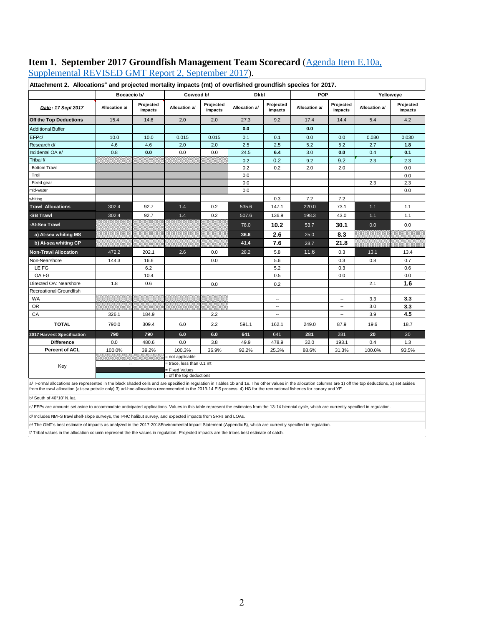# **Item 1. September 2017 Groundfish Management Team Scorecard** [\(Agenda Item E.10a,](http://www.pcouncil.org/wp-content/uploads/2017/09/E10a_Sup_REVISED_GMT_Rpt2_SEPT2017BB.pdf)

[Supplemental REVISED GMT Report 2,](http://www.pcouncil.org/wp-content/uploads/2017/09/E10a_Sup_REVISED_GMT_Rpt2_SEPT2017BB.pdf) September 2017).

|                             | Bocaccio b/   |                      | Cowcod b/                                  |                      | Dkbl          |                          | <b>POP</b>    |                      | Yelloweye     |                      |
|-----------------------------|---------------|----------------------|--------------------------------------------|----------------------|---------------|--------------------------|---------------|----------------------|---------------|----------------------|
| Date: 17 Sept 2017          | Allocation a/ | Projected<br>Impacts | Allocation a/                              | Projected<br>Impacts | Allocation a/ | Projected<br>Impacts     | Allocation a/ | Projected<br>Impacts | Allocation a/ | Projected<br>Impacts |
| Off the Top Deductions      | 15.4          | 14.6                 | 2.0                                        | 2.0                  | 27.3          | 9.2                      | 17.4          | 14.4                 | 5.4           | 4.2                  |
| <b>Additional Buffer</b>    |               |                      |                                            |                      | 0.0           |                          | 0.0           |                      |               |                      |
| EFPc/                       | 10.0          | 10.0                 | 0.015                                      | 0.015                | 0.1           | 0.1                      | 0.0           | 0.0                  | 0.030         | 0.030                |
| Research d/                 | 4.6           | 4.6                  | 2.0                                        | 2.0                  | 2.5           | 2.5                      | 5.2           | 5.2                  | 2.7           | 1.8                  |
| Incidental OA e/            | 0.8           | 0.0                  | 0.0                                        | 0.0                  | 24.5          | $6.4$                    | 3.0           | 0.0                  | 0.4           | 0.1                  |
| Tribal f/                   |               |                      |                                            |                      | 0.2           | 0.2                      | 9.2           | 9.2                  | 2.3           | 2.3                  |
| <b>Bottom Trawl</b>         |               |                      |                                            |                      | 0.2           | 0.2                      | 2.0           | 2.0                  |               | 0.0                  |
| Troll                       |               |                      |                                            |                      | 0.0           |                          |               |                      |               | 0.0                  |
| Fixed gear                  |               |                      |                                            |                      | 0.0           |                          |               |                      | 2.3           | 2.3                  |
| mid-water                   |               |                      |                                            |                      | 0.0           |                          |               |                      |               | 0.0                  |
| whiting                     |               |                      |                                            |                      |               | 0.3                      | 7.2           | 7.2                  |               |                      |
| <b>Trawl Allocations</b>    | 302.4         | 92.7                 | 1.4                                        | 0.2                  | 535.6         | 147.1                    | 220.0         | 73.1                 | $1.1$         | 1.1                  |
| -SB Trawl                   | 302.4         | 92.7                 | 1.4                                        | 0.2                  | 507.6         | 136.9                    | 198.3         | 43.0                 | $1.1$         | 1.1                  |
| -At-Sea Trawl               |               |                      |                                            |                      | 78.0          | 10.2                     | 53.7          | 30.1                 | 0.0           | 0.0                  |
| a) At-sea whiting MS        |               |                      |                                            |                      | 36.6          | 2.6                      | 25.0          | 8.3                  |               |                      |
| b) At-sea whiting CP        |               |                      |                                            |                      | 41.4          | 7.6                      | 28.7          | 21.8                 |               |                      |
| <b>Non-Trawl Allocation</b> | 472.2         | 202.1                | 2.6                                        | 0.0                  | 28.2          | 5.8                      | 11.6          | 0.3                  | 13.1          | 13.4                 |
| Non-Nearshore               | 144.3         | 16.6                 |                                            | 0.0                  |               | 5.6                      |               | 0.3                  | 0.8           | 0.7                  |
| LE FG                       |               | 6.2                  |                                            |                      |               | 5.2                      |               | 0.3                  |               | 0.6                  |
| OA FG                       |               | 10.4                 |                                            |                      |               | 0.5                      |               | 0.0                  |               | 0.0                  |
| Directed OA: Nearshore      | 1.8           | 0.6                  |                                            | 0.0                  |               | 0.2                      |               |                      | 2.1           | 1.6                  |
| Recreational Groundfish     |               |                      |                                            |                      |               |                          |               |                      |               |                      |
| <b>WA</b>                   |               |                      |                                            |                      |               | --                       |               | --                   | 3.3           | 3.3                  |
| <b>OR</b>                   |               |                      |                                            |                      |               | $\overline{\phantom{a}}$ |               | --                   | 3.0           | 3.3                  |
| CA                          | 326.1         | 184.9                |                                            | 2.2                  |               | $\overline{\phantom{a}}$ |               | --                   | 3.9           | 4.5                  |
| <b>TOTAL</b>                | 790.0         | 309.4                | 6.0                                        | 2.2                  | 591.1         | 162.1                    | 249.0         | 87.9                 | 19.6          | 18.7                 |
| 2017 Harvest Specification  | 790           | 790                  | 6.0                                        | 6.0                  | 641           | 641                      | 281           | 281                  | 20            | 20                   |
| <b>Difference</b>           | 0.0           | 480.6                | 0.0                                        | 3.8                  | 49.9          | 478.9                    | 32.0          | 193.1                | 0.4           | 1.3                  |
| <b>Percent of ACL</b>       | 100.0%        | 39.2%                | 100.3%                                     | 36.9%                | 92.2%         | 25.3%                    | 88.6%         | 31.3%                | 100.0%        | 93.5%                |
|                             |               |                      | = not applicable                           |                      |               |                          |               |                      |               |                      |
| Key                         | $\sim$        |                      | = trace, less than 0.1 mt                  |                      |               |                          |               |                      |               |                      |
|                             |               |                      | = Fixed Values<br>= off the top deductions |                      |               |                          |               |                      |               |                      |

Attachment 2. Allocations<sup>a</sup> and projected mortality impacts (mt) of overfished groundfish species for 2017.

a/ Formal allocations are represented in the black shaded cells and are specified in regulation in Tables 1b and 1e. The other values in the allocation columns are 1) off the top deductions, 2) set asides from the trawl allocation (at-sea petrale only) 3) ad-hoc allocations recommended in the 2013-14 EIS process, 4) HG for the recreational fisheries for canary and YE.

b/ South of 40°10' N. lat.

 $\alpha$  EFPs are amounts set aside to accommodate anticipated applications. Values in this table represent the estimates from the 13-14 biennial cycle, which are currently specified in regulation.

d/ Includes NMFS trawl shelf-slope surveys, the IPHC halibut survey, and expected impacts from SRPs and LOAs.

e/ The GMT's best estimate of impacts as analyzed in the 2017-2018Environmental Impact Statement (Appendix B), which are currently specified in regulation.

f/ Tribal values in the allocation column represent the the values in regulation. Projected impacts are the tribes best estimate of catch.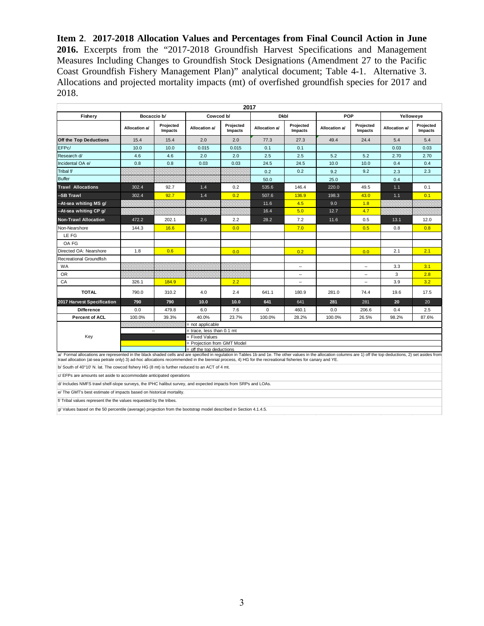**Item 2**. **2017-2018 Allocation Values and Percentages from Final Council Action in June 2016.** Excerpts from the "2017-2018 Groundfish Harvest Specifications and Management Measures Including Changes to Groundfish Stock Designations (Amendment 27 to the Pacific Coast Groundfish Fishery Management Plan)" analytical document; Table 4-1. Alternative 3. Allocations and projected mortality impacts (mt) of overfished groundfish species for 2017 and 2018.

|                                                                                                                                                                                                                                                                                                                                                                                |                |                      |                                                                                                | 2017                 |               |                          |               |                          |               |                      |
|--------------------------------------------------------------------------------------------------------------------------------------------------------------------------------------------------------------------------------------------------------------------------------------------------------------------------------------------------------------------------------|----------------|----------------------|------------------------------------------------------------------------------------------------|----------------------|---------------|--------------------------|---------------|--------------------------|---------------|----------------------|
| Fishery                                                                                                                                                                                                                                                                                                                                                                        | Bocaccio b/    |                      | Cowcod b/                                                                                      |                      | <b>Dkbl</b>   |                          | POP           |                          | Yelloweye     |                      |
|                                                                                                                                                                                                                                                                                                                                                                                | Allocation a/  | Projected<br>Impacts | Allocation a/                                                                                  | Projected<br>Impacts | Allocation a/ | Projected<br>Impacts     | Allocation a/ | Projected<br>Impacts     | Allocation a/ | Projected<br>Impacts |
| Off the Top Deductions                                                                                                                                                                                                                                                                                                                                                         | 15.4           | 15.4                 | 2.0                                                                                            | 2.0                  | 77.3          | 27.3                     | 49.4          | 24.4                     | 5.4           | 5.4                  |
| EFPc/                                                                                                                                                                                                                                                                                                                                                                          | 10.0           | 10.0                 | 0.015                                                                                          | 0.015                | 0.1           | 0.1                      |               |                          | 0.03          | 0.03                 |
| Research d/                                                                                                                                                                                                                                                                                                                                                                    | 4.6            | 4.6                  | 2.0                                                                                            | 2.0                  | 2.5           | 2.5                      | 5.2           | 5.2                      | 2.70          | 2.70                 |
| Incidental OA e/                                                                                                                                                                                                                                                                                                                                                               | 0.8            | 0.8                  | 0.03                                                                                           | 0.03                 | 24.5          | 24.5                     | 10.0          | 10.0                     | 0.4           | 0.4                  |
| Tribal f/                                                                                                                                                                                                                                                                                                                                                                      |                |                      |                                                                                                |                      | 0.2           | 0.2                      | 9.2           | 9.2                      | 2.3           | 2.3                  |
| Buffer                                                                                                                                                                                                                                                                                                                                                                         |                |                      |                                                                                                |                      | 50.0          |                          | 25.0          |                          | 0.4           |                      |
| <b>Trawl Allocations</b>                                                                                                                                                                                                                                                                                                                                                       | 302.4          | 92.7                 | 1.4                                                                                            | 0.2                  | 535.6         | 146.4                    | 220.0         | 49.5                     | 1.1           | 0.1                  |
| --SB Trawl                                                                                                                                                                                                                                                                                                                                                                     | 302.4          | 92.7                 | 1.4                                                                                            | 0.2                  | 507.6         | 136.9                    | 198.3         | 43.0                     | $1.1$         | 0.1                  |
| --At-sea whiting MS g/                                                                                                                                                                                                                                                                                                                                                         |                |                      |                                                                                                |                      | 11.6          | 4.5                      | 9.0           | 1.8                      |               |                      |
| --At-sea whiting CP g/                                                                                                                                                                                                                                                                                                                                                         |                |                      |                                                                                                |                      | 16.4          | 5.0                      | 12.7          | 4.7                      |               |                      |
| <b>Non-Trawl Allocation</b>                                                                                                                                                                                                                                                                                                                                                    | 472.2          | 202.1                | 2.6                                                                                            | 2.2                  | 28.2          | 7.2                      | 11.6          | 0.5                      | 13.1          | 12.0                 |
| Non-Nearshore                                                                                                                                                                                                                                                                                                                                                                  | 144.3          | 16.6                 |                                                                                                | 0.0                  |               | 7.0                      |               | 0.5                      | 0.8           | 0.8                  |
| LE FG                                                                                                                                                                                                                                                                                                                                                                          |                |                      |                                                                                                |                      |               |                          |               |                          |               |                      |
| OA FG                                                                                                                                                                                                                                                                                                                                                                          |                |                      |                                                                                                |                      |               |                          |               |                          |               |                      |
| Directed OA: Nearshore                                                                                                                                                                                                                                                                                                                                                         | 1.8            | 0.6                  |                                                                                                | 0.0                  |               | 0.2                      |               | 0.0                      | 2.1           | 2.1                  |
| Recreational Groundfish                                                                                                                                                                                                                                                                                                                                                        |                |                      |                                                                                                |                      |               |                          |               |                          |               |                      |
| <b>WA</b>                                                                                                                                                                                                                                                                                                                                                                      |                |                      |                                                                                                |                      |               | ш,                       |               | ۰.                       | 3.3           | 3.1                  |
| OR                                                                                                                                                                                                                                                                                                                                                                             |                |                      |                                                                                                |                      |               | $\overline{\phantom{a}}$ |               | $\overline{\phantom{a}}$ | 3             | 2.8                  |
| CA                                                                                                                                                                                                                                                                                                                                                                             | 326.1          | 184.9                |                                                                                                | 2.2                  |               | $\overline{\phantom{a}}$ |               | --                       | 3.9           | 3.2                  |
| <b>TOTAL</b>                                                                                                                                                                                                                                                                                                                                                                   | 790.0          | 310.2                | 4.0                                                                                            | 2.4                  | 641.1         | 180.9                    | 281.0         | 74.4                     | 19.6          | 17.5                 |
| 2017 Harvest Specification                                                                                                                                                                                                                                                                                                                                                     | 790            | 790                  | 10.0                                                                                           | 10.0                 | 641           | 641                      | 281           | 281                      | 20            | 20                   |
| <b>Difference</b>                                                                                                                                                                                                                                                                                                                                                              | 0.0            | 479.8                | 6.0                                                                                            | 7.6                  | $\Omega$      | 460.1                    | 0.0           | 206.6                    | 0.4           | 2.5                  |
| <b>Percent of ACL</b>                                                                                                                                                                                                                                                                                                                                                          | 100.0%         | 39.3%                | 40.0%                                                                                          | 23.7%                | 100.0%        | 28.2%                    | 100.0%        | 26.5%                    | 98.2%         | 87.6%                |
| Key                                                                                                                                                                                                                                                                                                                                                                            | $\overline{a}$ |                      | = not applicable<br>= trace, less than 0.1 mt<br>= Fixed Values<br>= Projection from GMT Model |                      |               |                          |               |                          |               |                      |
| a/ Formal allocations are represented in the black shaded cells and are specified in regulation in Tables 1b and 1e. The other values in the allocation columns are 1) off the top deductions, 2) set asides from<br>trawl allocation (at-sea petrale only) 3) ad-hoc allocations recommended in the biennial process, 4) HG for the recreational fisheries for canary and YE. |                |                      | = off the top deductions                                                                       |                      |               |                          |               |                          |               |                      |

b/ South of 40°10' N. lat. The cowcod fishery HG (8 mt) is further reduced to an ACT of 4 mt.

c/ EFPs are amounts set aside to accommodate anticipated operations

d/ Includes NMFS trawl shelf-slope surveys, the IPHC halibut survey, and expected impacts from SRPs and LOAs.

e/ The GMT's best estimate of impacts based on historical mortality.

f/ Tribal values represent the the values requested by the tribes.

g/ Values based on the 50 percentile (average) projection from the bootstrap model described in Section 4.1.4.5.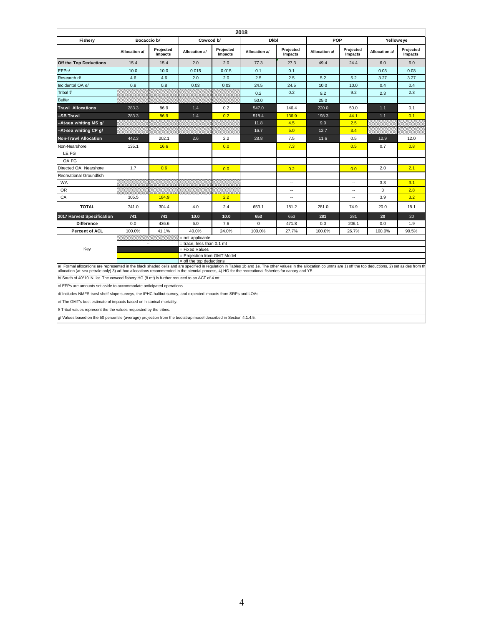|                                                                                                                                                                                                                                                                                                                                                                             |               |                      |                                                         |                      | 2018          |                      |               |                      |               |                      |
|-----------------------------------------------------------------------------------------------------------------------------------------------------------------------------------------------------------------------------------------------------------------------------------------------------------------------------------------------------------------------------|---------------|----------------------|---------------------------------------------------------|----------------------|---------------|----------------------|---------------|----------------------|---------------|----------------------|
| Fishery                                                                                                                                                                                                                                                                                                                                                                     | Bocaccio b/   |                      | Cowcod b/                                               |                      | <b>Dkbl</b>   |                      | POP           |                      | Yelloweye     |                      |
|                                                                                                                                                                                                                                                                                                                                                                             | Allocation a/ | Projected<br>Impacts | Allocation a/                                           | Projected<br>Impacts | Allocation a/ | Projected<br>Impacts | Allocation a/ | Projected<br>Impacts | Allocation a/ | Projected<br>Impacts |
| Off the Top Deductions                                                                                                                                                                                                                                                                                                                                                      | 15.4          | 15.4                 | 2.0                                                     | 2.0                  | 77.3          | 27.3                 | 49.4          | 24.4                 | 6.0           | 6.0                  |
| EFPc/                                                                                                                                                                                                                                                                                                                                                                       | 10.0          | 10.0                 | 0.015                                                   | 0.015                | 0.1           | 0.1                  |               |                      | 0.03          | 0.03                 |
| Research d/                                                                                                                                                                                                                                                                                                                                                                 | 4.6           | 4.6                  | 2.0                                                     | 2.0                  | 2.5           | 2.5                  | 5.2           | 5.2                  | 3.27          | 3.27                 |
| Incidental OA e/                                                                                                                                                                                                                                                                                                                                                            | 0.8           | 0.8                  | 0.03                                                    | 0.03                 | 24.5          | 24.5                 | 10.0          | 10.0                 | 0.4           | 0.4                  |
| Tribal f/                                                                                                                                                                                                                                                                                                                                                                   |               |                      |                                                         |                      | 0.2           | 0.2                  | 9.2           | 9.2                  | 2.3           | 2.3                  |
| <b>Buffer</b>                                                                                                                                                                                                                                                                                                                                                               |               |                      |                                                         |                      | 50.0          |                      | 25.0          |                      |               |                      |
| <b>Trawl Allocations</b>                                                                                                                                                                                                                                                                                                                                                    | 283.3         | 86.9                 | 1.4                                                     | 0.2                  | 547.0         | 146.4                | 220.0         | 50.0                 | $1.1$         | 0.1                  |
| -SB Trawl                                                                                                                                                                                                                                                                                                                                                                   | 283.3         | 86.9                 | 1.4                                                     | 0.2                  | 518.4         | 136.9                | 198.3         | 44.1                 | 1.1           | 0.1                  |
| --At-sea whiting MS g/                                                                                                                                                                                                                                                                                                                                                      |               |                      |                                                         |                      | 11.8          | 4.5                  | 9.0           | 2.5                  |               |                      |
| --At-sea whiting CP g/                                                                                                                                                                                                                                                                                                                                                      |               |                      |                                                         |                      | 16.7          | 5.0                  | 12.7          | 3.4                  |               |                      |
| <b>Non-Trawl Allocation</b>                                                                                                                                                                                                                                                                                                                                                 | 442.3         | 202.1                | 2.6                                                     | 2.2                  | 28.8          | 7.5                  | 11.6          | 0.5                  | 12.9          | 12.0                 |
| Non-Nearshore                                                                                                                                                                                                                                                                                                                                                               | 135.1         | 16.6                 |                                                         | 0.0                  |               | 7.3                  |               | 0.5                  | 0.7           | 0.8                  |
| LE FG                                                                                                                                                                                                                                                                                                                                                                       |               |                      |                                                         |                      |               |                      |               |                      |               |                      |
| OA FG                                                                                                                                                                                                                                                                                                                                                                       |               |                      |                                                         |                      |               |                      |               |                      |               |                      |
| Directed OA: Nearshore                                                                                                                                                                                                                                                                                                                                                      | 1.7           | 0.6                  |                                                         | 0.0                  |               | 0.2                  |               | 0.0                  | 2.0           | 2.1                  |
| Recreational Groundfish                                                                                                                                                                                                                                                                                                                                                     |               |                      |                                                         |                      |               |                      |               |                      |               |                      |
| <b>WA</b>                                                                                                                                                                                                                                                                                                                                                                   |               |                      |                                                         |                      |               | $\sim$               |               | $\sim$               | 3.3           | 3.1                  |
| <b>OR</b>                                                                                                                                                                                                                                                                                                                                                                   |               |                      |                                                         |                      |               | Ξ.                   |               | $\sim$               | 3             | 2.8                  |
| CA                                                                                                                                                                                                                                                                                                                                                                          | 305.5         | 184.9                |                                                         | 2.2                  |               | $\sim$               |               | $\sim$               | 3.9           | 3.2                  |
| <b>TOTAL</b>                                                                                                                                                                                                                                                                                                                                                                | 741.0         | 304.4                | 4.0                                                     | 2.4                  | 653.1         | 181.2                | 281.0         | 74.9                 | 20.0          | 18.1                 |
| 2017 Harvest Specification                                                                                                                                                                                                                                                                                                                                                  | 741           | 741                  | 10.0                                                    | 10.0                 | 653           | 653                  | 281           | 281                  | 20            | 20                   |
| <b>Difference</b>                                                                                                                                                                                                                                                                                                                                                           | 0.0           | 436.6                | 6.0                                                     | 7.6                  | $\mathbf 0$   | 471.8                | 0.0           | 206.1                | 0.0           | 1.9                  |
| <b>Percent of ACL</b>                                                                                                                                                                                                                                                                                                                                                       | 100.0%        | 41.1%                | 40.0%                                                   | 24.0%                | 100.0%        | 27.7%                | 100.0%        | 26.7%                | 100.0%        | 90.5%                |
|                                                                                                                                                                                                                                                                                                                                                                             |               |                      | = not applicable                                        |                      |               |                      |               |                      |               |                      |
|                                                                                                                                                                                                                                                                                                                                                                             | $\sim$        |                      | = trace, less than 0.1 mt                               |                      |               |                      |               |                      |               |                      |
| Key                                                                                                                                                                                                                                                                                                                                                                         |               |                      | = Fixed Values                                          |                      |               |                      |               |                      |               |                      |
|                                                                                                                                                                                                                                                                                                                                                                             |               |                      | = Projection from GMT Model<br>= off the top deductions |                      |               |                      |               |                      |               |                      |
| a/ Formal allocations are represented in the black shaded cells and are specified in regulation in Tables 1b and 1e. The other values in the allocation columns are 1) off the top deductions, 2) set asides from th<br>allocation (at-sea petrale only) 3) ad-hoc allocations recommended in the biennial process, 4) HG for the recreational fisheries for canary and YE. |               |                      |                                                         |                      |               |                      |               |                      |               |                      |
| b/ South of 40°10' N. lat. The cowcod fishery HG (8 mt) is further reduced to an ACT of 4 mt.                                                                                                                                                                                                                                                                               |               |                      |                                                         |                      |               |                      |               |                      |               |                      |
| c/ EFPs are amounts set aside to accommodate anticipated operations                                                                                                                                                                                                                                                                                                         |               |                      |                                                         |                      |               |                      |               |                      |               |                      |
| d/ Includes NMFS trawl shelf-slope surveys, the IPHC halibut survey, and expected impacts from SRPs and LOAs.                                                                                                                                                                                                                                                               |               |                      |                                                         |                      |               |                      |               |                      |               |                      |
| e/ The GMT's best estimate of impacts based on historical mortality.                                                                                                                                                                                                                                                                                                        |               |                      |                                                         |                      |               |                      |               |                      |               |                      |

f/ Tribal values represent the the values requested by the tribes.

g/ Values based on the 50 percentile (average) projection from the bootstrap model described in Section 4.1.4.5.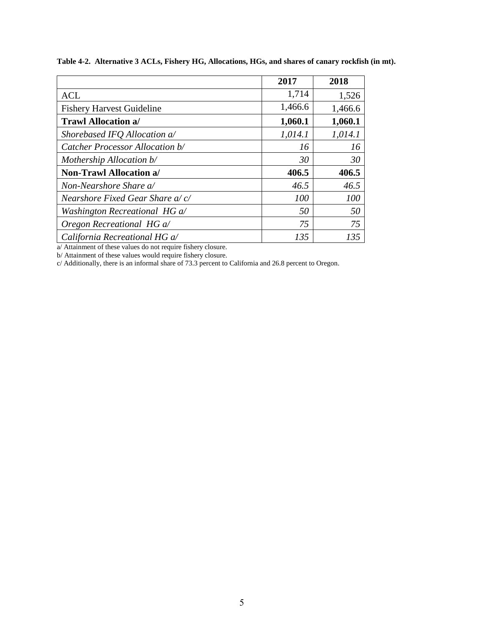|                                  | 2017    | 2018    |
|----------------------------------|---------|---------|
| <b>ACL</b>                       | 1,714   | 1,526   |
| <b>Fishery Harvest Guideline</b> | 1,466.6 | 1,466.6 |
| <b>Trawl Allocation a/</b>       | 1,060.1 | 1,060.1 |
| Shorebased IFQ Allocation a/     | 1,014.1 | 1,014.1 |
| Catcher Processor Allocation b/  | 16      | 16      |
| Mothership Allocation b/         | 30      | 30      |
| <b>Non-Trawl Allocation a/</b>   | 406.5   | 406.5   |
| Non-Nearshore Share a/           | 46.5    | 46.5    |
| Nearshore Fixed Gear Share a/c/  | 100     | 100     |
| Washington Recreational HG a/    | 50      | 50      |
| Oregon Recreational HG a/        | 75      | 75      |
| California Recreational HG a/    | 135     | 135     |

**Table 4-2. Alternative 3 ACLs, Fishery HG, Allocations, HGs, and shares of canary rockfish (in mt).**

a/ Attainment of these values do not require fishery closure.

b/ Attainment of these values would require fishery closure.

c/ Additionally, there is an informal share of 73.3 percent to California and 26.8 percent to Oregon.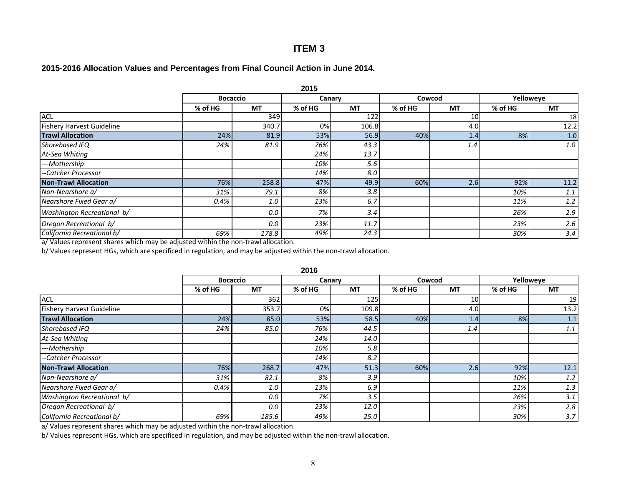## **ITEM 3**

#### **2015-2016 Allocation Values and Percentages from Final Council Action in June 2014.**

|                                  | 2015            |           |         |           |         |           |           |           |  |  |  |
|----------------------------------|-----------------|-----------|---------|-----------|---------|-----------|-----------|-----------|--|--|--|
|                                  | <b>Bocaccio</b> |           | Canary  |           | Cowcod  |           | Yelloweye |           |  |  |  |
|                                  | % of HG         | <b>MT</b> | % of HG | <b>MT</b> | % of HG | <b>MT</b> | % of HG   | <b>MT</b> |  |  |  |
| <b>ACL</b>                       |                 | 349       |         | 122       |         | 10        |           | 18        |  |  |  |
| <b>Fishery Harvest Guideline</b> |                 | 340.7     | 0%      | 106.8     |         | 4.0       |           | 12.2      |  |  |  |
| <b>Trawl Allocation</b>          | 24%             | 81.9      | 53%     | 56.9      | 40%     | 1.4       | 8%        | 1.0       |  |  |  |
| Shorebased IFQ                   | 24%             | 81.9      | 76%     | 43.3      |         | 1.4       |           | 1.0       |  |  |  |
| At-Sea Whiting                   |                 |           | 24%     | 13.7      |         |           |           |           |  |  |  |
| ---Mothership                    |                 |           | 10%     | 5.6       |         |           |           |           |  |  |  |
| --Catcher Processor              |                 |           | 14%     | 8.0       |         |           |           |           |  |  |  |
| <b>Non-Trawl Allocation</b>      | 76%             | 258.8     | 47%     | 49.9      | 60%     | 2.6       | 92%       | 11.2      |  |  |  |
| Non-Nearshore a/                 | 31%             | 79.1      | 8%      | 3.8       |         |           | 10%       | 1.1       |  |  |  |
| Nearshore Fixed Gear a/          | 0.4%            | 1.0       | 13%     | 6.7       |         |           | 11%       | 1.2       |  |  |  |
| Washington Recreational b/       |                 | 0.0       | 7%      | 3.4       |         |           | 26%       | 2.9       |  |  |  |
| Oregon Recreational b/           |                 | 0.0       | 23%     | 11.7      |         |           | 23%       | 2.6       |  |  |  |
| California Recreational b/       | 69%             | 178.8     | 49%     | 24.3      |         |           | 30%       | 3.4       |  |  |  |

a/ Values represent shares which may be adjusted within the non-trawl allocation.

b/ Values represent HGs, which are specificed in regulation, and may be adjusted within the non-trawl allocation.

| <b>Bocaccio</b> |           |           |         |           |           |           |
|-----------------|-----------|-----------|---------|-----------|-----------|-----------|
|                 | Canary    |           | Cowcod  |           | Yelloweye |           |
|                 | % of HG   | <b>MT</b> | % of HG | <b>MT</b> | % of HG   | <b>MT</b> |
| 362             |           | 125       |         | 10        |           | 19        |
| 353.7           | 0%        | 109.8     |         | 4.0       |           | 13.2      |
| 85.0            | 53%       | 58.5      | 40%     | 1.4       | 8%        | 1.1       |
| 85.0            | 76%       | 44.5      |         | 1.4       |           | 1.1       |
|                 | 24%       | 14.0      |         |           |           |           |
|                 | 10%       | 5.8       |         |           |           |           |
|                 | 14%       | 8.2       |         |           |           |           |
| 268.7           | 47%       | 51.3      | 60%     | 2.6       | 92%       | 12.1      |
| 82.1            | 8%        | 3.9       |         |           | 10%       | 1.2       |
| 1.0             | 13%       | 6.9       |         |           | 11%       | 1.3       |
| 0.0             | 7%        | 3.5       |         |           | 26%       | 3.1       |
| 0.0             | 23%       | 12.0      |         |           | 23%       | 2.8       |
| 185.6           | 49%       | 25.0      |         |           | 30%       | 3.7       |
|                 | <b>MT</b> |           |         |           |           |           |

a/ Values represent shares which may be adjusted within the non-trawl allocation.

b/ Values represent HGs, which are specificed in regulation, and may be adjusted within the non-trawl allocation.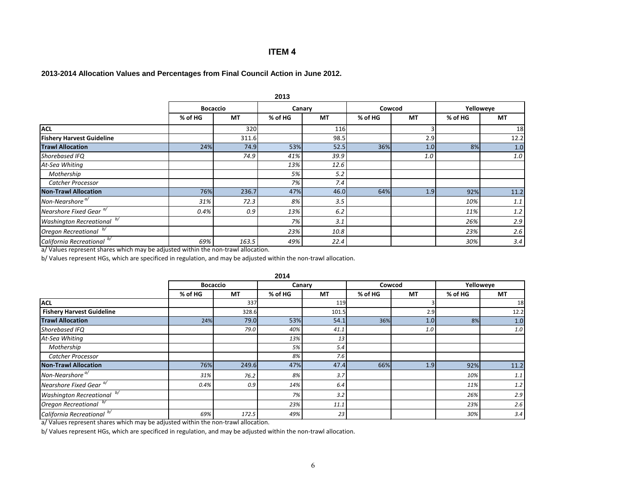### **ITEM 4**

### **2013-2014 Allocation Values and Percentages from Final Council Action in June 2012.**

|                                    | 2013            |           |         |           |         |           |         |           |  |  |  |  |
|------------------------------------|-----------------|-----------|---------|-----------|---------|-----------|---------|-----------|--|--|--|--|
|                                    | <b>Bocaccio</b> |           |         | Canary    |         | Cowcod    |         | Yelloweye |  |  |  |  |
|                                    | % of HG         | <b>MT</b> | % of HG | <b>MT</b> | % of HG | <b>MT</b> | % of HG | <b>MT</b> |  |  |  |  |
| <b>ACL</b>                         |                 | 320       |         | 116       |         |           |         | 18        |  |  |  |  |
| <b>Fishery Harvest Guideline</b>   |                 | 311.6     |         | 98.5      |         | 2.9       |         | 12.2      |  |  |  |  |
| <b>Trawl Allocation</b>            | 24%             | 74.9      | 53%     | 52.5      | 36%     | 1.0       | 8%      | 1.0       |  |  |  |  |
| Shorebased IFQ                     |                 | 74.9      | 41%     | 39.9      |         | 1.0       |         | 1.0       |  |  |  |  |
| At-Sea Whiting                     |                 |           | 13%     | 12.6      |         |           |         |           |  |  |  |  |
| Mothership                         |                 |           | 5%      | 5.2       |         |           |         |           |  |  |  |  |
| Catcher Processor                  |                 |           | 7%      | 7.4       |         |           |         |           |  |  |  |  |
| <b>Non-Trawl Allocation</b>        | 76%             | 236.7     | 47%     | 46.0      | 64%     | 1.9       | 92%     | $11.2$    |  |  |  |  |
| Non-Nearshore <sup>a/</sup>        | 31%             | 72.3      | 8%      | 3.5       |         |           | 10%     | 1.1       |  |  |  |  |
| Nearshore Fixed Gear <sup>a/</sup> | 0.4%            | 0.9       | 13%     | 6.2       |         |           | 11%     | 1.2       |  |  |  |  |
| <b>Washington Recreational</b> b/  |                 |           | 7%      | 3.1       |         |           | 26%     | 2.9       |  |  |  |  |
| Oregon Recreational b/             |                 |           | 23%     | 10.8      |         |           | 23%     | 2.6       |  |  |  |  |
| California Recreational b/         | 69%             | 163.5     | 49%     | 22.4      |         |           | 30%     | 3.4       |  |  |  |  |

a/ Values represent shares which may be adjusted within the non-trawl allocation.

b/ Values represent HGs, which are specificed in regulation, and may be adjusted within the non-trawl allocation.

|                                    | 2014            |           |         |           |         |           |         |           |  |  |  |
|------------------------------------|-----------------|-----------|---------|-----------|---------|-----------|---------|-----------|--|--|--|
|                                    | <b>Bocaccio</b> |           |         | Canary    |         | Cowcod    |         | Yelloweye |  |  |  |
|                                    | % of HG         | <b>MT</b> | % of HG | <b>MT</b> | % of HG | <b>MT</b> | % of HG | <b>MT</b> |  |  |  |
| <b>ACL</b>                         |                 | 337       |         | 119       |         |           |         | 18        |  |  |  |
| <b>Fishery Harvest Guideline</b>   |                 | 328.6     |         | 101.5     |         | 2.9       |         | 12.2      |  |  |  |
| <b>Trawl Allocation</b>            | 24%             | 79.0      | 53%     | 54.1      | 36%     | 1.0       | 8%      | 1.0       |  |  |  |
| Shorebased IFQ                     |                 | 79.0      | 40%     | 41.1      |         | 1.0       |         | 1.0       |  |  |  |
| At-Sea Whiting                     |                 |           | 13%     | 13        |         |           |         |           |  |  |  |
| Mothership                         |                 |           | 5%      | 5.4       |         |           |         |           |  |  |  |
| <b>Catcher Processor</b>           |                 |           | 8%      | 7.6       |         |           |         |           |  |  |  |
| <b>Non-Trawl Allocation</b>        | 76%             | 249.6     | 47%     | 47.4      | 66%     | 1.9       | 92%     | 11.2      |  |  |  |
| Non-Nearshore <sup>a/</sup>        | 31%             | 76.2      | 8%      | 3.7       |         |           | 10%     | 1.1       |  |  |  |
| Nearshore Fixed Gear <sup>a/</sup> | 0.4%            | 0.9       | 14%     | 6.4       |         |           | 11%     | 1.2       |  |  |  |
| Washington Recreational b/         |                 |           | 7%      | 3.2       |         |           | 26%     | 2.9       |  |  |  |
| Oregon Recreational b/             |                 |           | 23%     | 11.1      |         |           | 23%     | 2.6       |  |  |  |
| California Recreational b/         | 69%             | 172.5     | 49%     | 23        |         |           | 30%     | 3.4       |  |  |  |

a/ Values represent shares which may be adjusted within the non-trawl allocation.

b/ Values represent HGs, which are specificed in regulation, and may be adjusted within the non-trawl allocation.